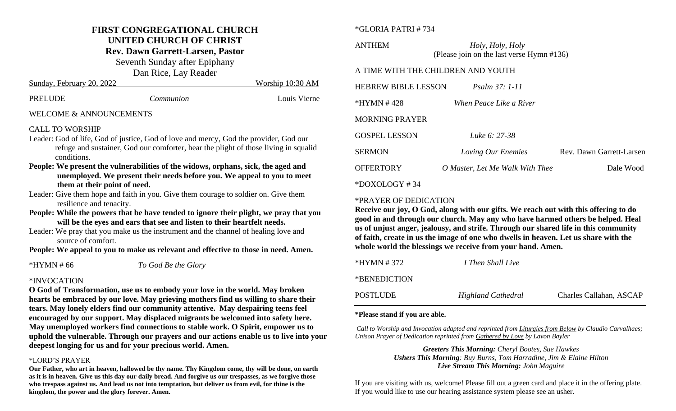# **FIRST CONGREGATIONAL CHURCH UNITED CHURCH OF CHRIST**

**Rev. Dawn Garrett-Larsen, Pastor**

Seventh Sunday after Epiphany

Dan Rice, Lay Reader

| PRELUDE | Communion | Louis Vierne |
|---------|-----------|--------------|
|         |           |              |

Sunday, February 20, 2022 Worship 10:30 AM

#### WELCOME & ANNOUNCEMENTS

#### CALL TO WORSHIP

- Leader: God of life, God of justice, God of love and mercy, God the provider, God our refuge and sustainer, God our comforter, hear the plight of those living in squalid conditions.
- **People: We present the vulnerabilities of the widows, orphans, sick, the aged and unemployed. We present their needs before you. We appeal to you to meet them at their point of need.**
- Leader: Give them hope and faith in you. Give them courage to soldier on. Give them resilience and tenacity.
- **People: While the powers that be have tended to ignore their plight, we pray that you will be the eyes and ears that see and listen to their heartfelt needs.**
- Leader: We pray that you make us the instrument and the channel of healing love and source of comfort.

**People: We appeal to you to make us relevant and effective to those in need. Amen.**

\*HYMN # 66 *To God Be the Glory*

### \*INVOCATION

**O God of Transformation, use us to embody your love in the world. May broken hearts be embraced by our love. May grieving mothers find us willing to share their tears. May lonely elders find our community attentive. May despairing teens feel encouraged by our support. May displaced migrants be welcomed into safety here. May unemployed workers find connections to stable work. O Spirit, empower us to uphold the vulnerable. Through our prayers and our actions enable us to live into your deepest longing for us and for your precious world. Amen.**

#### \*LORD'S PRAYER

**Our Father, who art in heaven, hallowed be thy name. Thy Kingdom come, thy will be done, on earth as it is in heaven. Give us this day our daily bread. And forgive us our trespasses, as we forgive those who trespass against us. And lead us not into temptation, but deliver us from evil, for thine is the kingdom, the power and the glory forever. Amen.**

#### \*GLORIA PATRI # 734

ANTHEM *Holy, Holy, Holy* (Please join on the last verse Hymn #136)

#### A TIME WITH THE CHILDREN AND YOUTH

| <b>HEBREW BIBLE LESSON</b> | <i>Psalm 37: 1-11</i>           |                          |
|----------------------------|---------------------------------|--------------------------|
| *HYMN #428                 | When Peace Like a River         |                          |
| <b>MORNING PRAYER</b>      |                                 |                          |
| <b>GOSPEL LESSON</b>       | Luke 6: 27-38                   |                          |
| <b>SERMON</b>              | Loving Our Enemies              | Rev. Dawn Garrett-Larsen |
| <b>OFFERTORY</b>           | O Master, Let Me Walk With Thee | Dale Wood                |
| $*$ DOXOLOGY #34           |                                 |                          |

#### \*PRAYER OF DEDICATION

**Receive our joy, O God, along with our gifts. We reach out with this offering to do good in and through our church. May any who have harmed others be helped. Heal us of unjust anger, jealousy, and strife. Through our shared life in this community of faith, create in us the image of one who dwells in heaven. Let us share with the whole world the blessings we receive from your hand. Amen.** 

| POSTLUDE     | <b>Highland Cathedral</b> | Charles Callahan, ASCAP |
|--------------|---------------------------|-------------------------|
| *BENEDICTION |                           |                         |
| *HYMN # 372  | I Then Shall Live         |                         |

#### **\*Please stand if you are able.**

*Call to Worship and Invocation adapted and reprinted from Liturgies from Below by Claudio Carvalhaes; Unison Prayer of Dedication reprinted from Gathered by Love by Lavon Bayler*

> *Greeters This Morning: Cheryl Bootes, Sue Hawkes Ushers This Morning: Buy Burns, Tom Harradine, Jim & Elaine Hilton Live Stream This Morning: John Maguire*

If you are visiting with us, welcome! Please fill out a green card and place it in the offering plate. If you would like to use our hearing assistance system please see an usher.